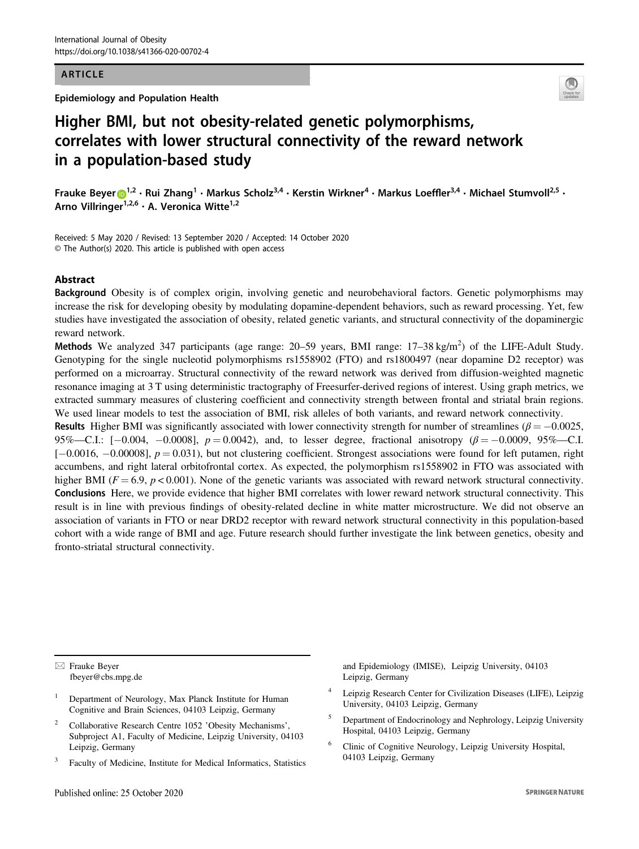## ARTICLE

Epidemiology and Population Health



# Higher BMI, but not obesity-related genetic polymorphisms, correlates with lower structural connectivity of the reward network in a population-based study

F[r](http://orcid.org/0000-0001-5401-852X)auke Beyer  $\bigcirc^{1,2}$  $\bigcirc^{1,2}$  $\bigcirc^{1,2}$  • Rui Zhang<sup>1</sup> • Markus Scholz<sup>3,4</sup> • Kerstin Wirkner<sup>4</sup> • Markus Loeffler<sup>3,4</sup> • Michael Stumvoll<sup>2,5</sup> • Arno Villringer<sup>1,2,6</sup> · A. Veronica Witte<sup>1,2</sup>

Received: 5 May 2020 / Revised: 13 September 2020 / Accepted: 14 October 2020 © The Author(s) 2020. This article is published with open access

## Abstract

Background Obesity is of complex origin, involving genetic and neurobehavioral factors. Genetic polymorphisms may increase the risk for developing obesity by modulating dopamine-dependent behaviors, such as reward processing. Yet, few studies have investigated the association of obesity, related genetic variants, and structural connectivity of the dopaminergic reward network.

Methods We analyzed 347 participants (age range:  $20-59$  years, BMI range:  $17-38$  kg/m<sup>2</sup>) of the LIFE-Adult Study. Genotyping for the single nucleotid polymorphisms rs1558902 (FTO) and rs1800497 (near dopamine D2 receptor) was performed on a microarray. Structural connectivity of the reward network was derived from diffusion-weighted magnetic resonance imaging at 3 T using deterministic tractography of Freesurfer-derived regions of interest. Using graph metrics, we extracted summary measures of clustering coefficient and connectivity strength between frontal and striatal brain regions. We used linear models to test the association of BMI, risk alleles of both variants, and reward network connectivity.

Results Higher BMI was significantly associated with lower connectivity strength for number of streamlines ( $\beta = -0.0025$ , 95%—C.I.:  $[-0.004, -0.0008]$ ,  $p = 0.0042$ ), and, to lesser degree, fractional anisotropy ( $\beta = -0.0009$ , 95%—C.I.  $[-0.0016, -0.00008]$ ,  $p = 0.031$ ), but not clustering coefficient. Strongest associations were found for left putamen, right accumbens, and right lateral orbitofrontal cortex. As expected, the polymorphism rs1558902 in FTO was associated with higher BMI ( $F = 6.9$ ,  $p < 0.001$ ). None of the genetic variants was associated with reward network structural connectivity. Conclusions Here, we provide evidence that higher BMI correlates with lower reward network structural connectivity. This result is in line with previous findings of obesity-related decline in white matter microstructure. We did not observe an association of variants in FTO or near DRD2 receptor with reward network structural connectivity in this population-based cohort with a wide range of BMI and age. Future research should further investigate the link between genetics, obesity and fronto-striatal structural connectivity.

 $\boxtimes$  Frauke Beyer [fbeyer@cbs.mpg.de](mailto:fbeyer@cbs.mpg.de)

- <sup>1</sup> Department of Neurology, Max Planck Institute for Human Cognitive and Brain Sciences, 04103 Leipzig, Germany
- <sup>2</sup> Collaborative Research Centre 1052 'Obesity Mechanisms', Subproject A1, Faculty of Medicine, Leipzig University, 04103 Leipzig, Germany
- <sup>3</sup> Faculty of Medicine, Institute for Medical Informatics, Statistics

and Epidemiology (IMISE), Leipzig University, 04103 Leipzig, Germany

- <sup>4</sup> Leipzig Research Center for Civilization Diseases (LIFE), Leipzig University, 04103 Leipzig, Germany
- <sup>5</sup> Department of Endocrinology and Nephrology, Leipzig University Hospital, 04103 Leipzig, Germany
- <sup>6</sup> Clinic of Cognitive Neurology, Leipzig University Hospital, 04103 Leipzig, Germany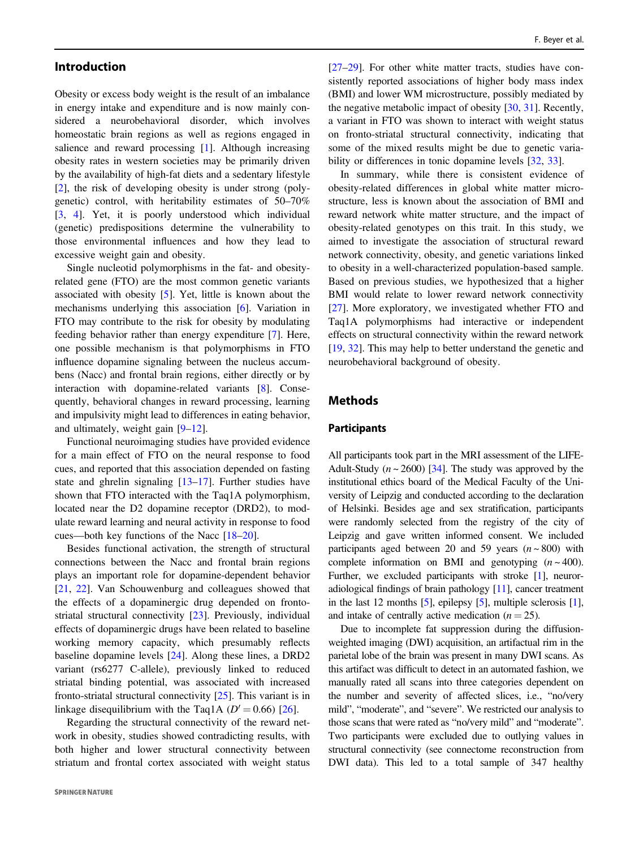# Introduction

Obesity or excess body weight is the result of an imbalance in energy intake and expenditure and is now mainly considered a neurobehavioral disorder, which involves homeostatic brain regions as well as regions engaged in salience and reward processing [\[1](#page-8-0)]. Although increasing obesity rates in western societies may be primarily driven by the availability of high-fat diets and a sedentary lifestyle [\[2](#page-8-0)], the risk of developing obesity is under strong (polygenetic) control, with heritability estimates of 50–70% [\[3](#page-8-0), [4](#page-8-0)]. Yet, it is poorly understood which individual (genetic) predispositions determine the vulnerability to those environmental influences and how they lead to excessive weight gain and obesity.

Single nucleotid polymorphisms in the fat- and obesityrelated gene (FTO) are the most common genetic variants associated with obesity [[5\]](#page-8-0). Yet, little is known about the mechanisms underlying this association [[6\]](#page-8-0). Variation in FTO may contribute to the risk for obesity by modulating feeding behavior rather than energy expenditure [\[7](#page-8-0)]. Here, one possible mechanism is that polymorphisms in FTO influence dopamine signaling between the nucleus accumbens (Nacc) and frontal brain regions, either directly or by interaction with dopamine-related variants [\[8](#page-8-0)]. Consequently, behavioral changes in reward processing, learning and impulsivity might lead to differences in eating behavior, and ultimately, weight gain [\[9](#page-8-0)–[12](#page-9-0)].

Functional neuroimaging studies have provided evidence for a main effect of FTO on the neural response to food cues, and reported that this association depended on fasting state and ghrelin signaling [\[13](#page-9-0)–[17](#page-9-0)]. Further studies have shown that FTO interacted with the Taq1A polymorphism, located near the D2 dopamine receptor (DRD2), to modulate reward learning and neural activity in response to food cues—both key functions of the Nacc [\[18](#page-9-0)–[20](#page-9-0)].

Besides functional activation, the strength of structural connections between the Nacc and frontal brain regions plays an important role for dopamine-dependent behavior [\[21](#page-9-0), [22\]](#page-9-0). Van Schouwenburg and colleagues showed that the effects of a dopaminergic drug depended on frontostriatal structural connectivity [[23\]](#page-9-0). Previously, individual effects of dopaminergic drugs have been related to baseline working memory capacity, which presumably reflects baseline dopamine levels [\[24](#page-9-0)]. Along these lines, a DRD2 variant (rs6277 C-allele), previously linked to reduced striatal binding potential, was associated with increased fronto-striatal structural connectivity [[25\]](#page-9-0). This variant is in linkage disequilibrium with the Taq1A ( $D' = 0.66$ ) [\[26](#page-9-0)].

Regarding the structural connectivity of the reward network in obesity, studies showed contradicting results, with both higher and lower structural connectivity between striatum and frontal cortex associated with weight status [\[27](#page-9-0)–[29](#page-9-0)]. For other white matter tracts, studies have consistently reported associations of higher body mass index (BMI) and lower WM microstructure, possibly mediated by the negative metabolic impact of obesity [\[30](#page-9-0), [31](#page-9-0)]. Recently, a variant in FTO was shown to interact with weight status on fronto-striatal structural connectivity, indicating that some of the mixed results might be due to genetic varia-bility or differences in tonic dopamine levels [[32,](#page-9-0) [33\]](#page-9-0).

In summary, while there is consistent evidence of obesity-related differences in global white matter microstructure, less is known about the association of BMI and reward network white matter structure, and the impact of obesity-related genotypes on this trait. In this study, we aimed to investigate the association of structural reward network connectivity, obesity, and genetic variations linked to obesity in a well-characterized population-based sample. Based on previous studies, we hypothesized that a higher BMI would relate to lower reward network connectivity [\[27](#page-9-0)]. More exploratory, we investigated whether FTO and Taq1A polymorphisms had interactive or independent effects on structural connectivity within the reward network [\[19](#page-9-0), [32](#page-9-0)]. This may help to better understand the genetic and neurobehavioral background of obesity.

# Methods

#### Participants

All participants took part in the MRI assessment of the LIFE-Adult-Study  $(n \sim 2600)$  [\[34](#page-9-0)]. The study was approved by the institutional ethics board of the Medical Faculty of the University of Leipzig and conducted according to the declaration of Helsinki. Besides age and sex stratification, participants were randomly selected from the registry of the city of Leipzig and gave written informed consent. We included participants aged between 20 and 59 years  $(n \sim 800)$  with complete information on BMI and genotyping  $(n \sim 400)$ . Further, we excluded participants with stroke [[1\]](#page-8-0), neuroradiological findings of brain pathology [[11](#page-8-0)], cancer treatment in the last 12 months  $[5]$  $[5]$ , epilepsy  $[5]$  $[5]$ , multiple sclerosis  $[1]$  $[1]$ , and intake of centrally active medication  $(n = 25)$ .

Due to incomplete fat suppression during the diffusionweighted imaging (DWI) acquisition, an artifactual rim in the parietal lobe of the brain was present in many DWI scans. As this artifact was difficult to detect in an automated fashion, we manually rated all scans into three categories dependent on the number and severity of affected slices, i.e., "no/very mild", "moderate", and "severe". We restricted our analysis to those scans that were rated as "no/very mild" and "moderate". Two participants were excluded due to outlying values in structural connectivity (see connectome reconstruction from DWI data). This led to a total sample of 347 healthy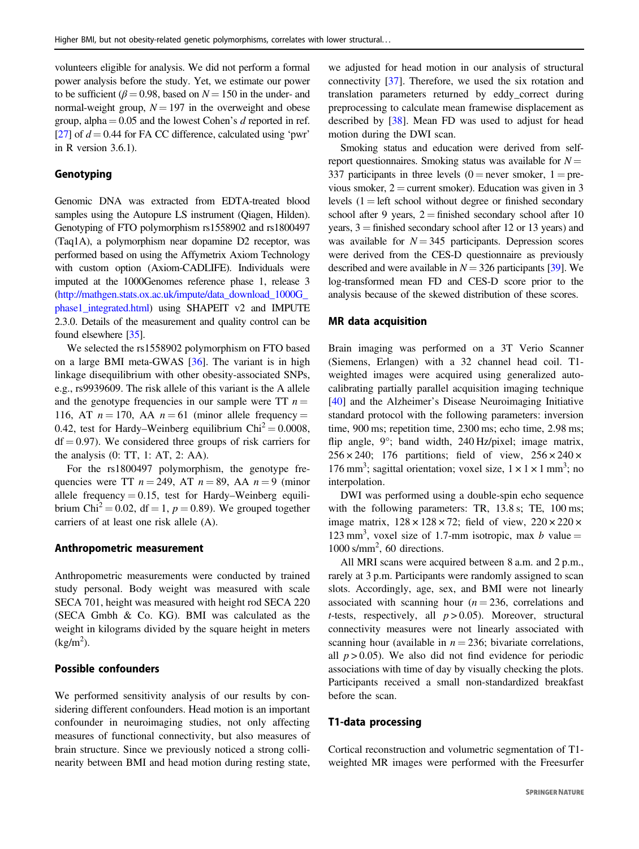volunteers eligible for analysis. We did not perform a formal power analysis before the study. Yet, we estimate our power to be sufficient ( $\beta$  = 0.98, based on  $N = 150$  in the under- and normal-weight group,  $N = 197$  in the overweight and obese group, alpha  $= 0.05$  and the lowest Cohen's d reported in ref. [\[27\]](#page-9-0) of  $d = 0.44$  for FA CC difference, calculated using 'pwr' in R version 3.6.1).

# Genotyping

Genomic DNA was extracted from EDTA-treated blood samples using the Autopure LS instrument (Qiagen, Hilden). Genotyping of FTO polymorphism rs1558902 and rs1800497 (Taq1A), a polymorphism near dopamine D2 receptor, was performed based on using the Affymetrix Axiom Technology with custom option (Axiom-CADLIFE). Individuals were imputed at the 1000Genomes reference phase 1, release 3 [\(http://mathgen.stats.ox.ac.uk/impute/data\\_download\\_1000G\\_](http://mathgen.stats.ox.ac.uk/impute/data_download_1000G_phase1_integrated.html) phase1 integrated.html) using SHAPEIT v2 and IMPUTE 2.3.0. Details of the measurement and quality control can be found elsewhere [\[35](#page-9-0)].

We selected the rs1558902 polymorphism on FTO based on a large BMI meta-GWAS [[36\]](#page-9-0). The variant is in high linkage disequilibrium with other obesity-associated SNPs, e.g., rs9939609. The risk allele of this variant is the A allele and the genotype frequencies in our sample were  $TT$   $n =$ 116, AT  $n = 170$ , AA  $n = 61$  (minor allele frequency = 0.42, test for Hardy–Weinberg equilibrium  $\text{Chi}^2 = 0.0008$ ,  $df = 0.97$ ). We considered three groups of risk carriers for the analysis (0: TT, 1: AT, 2: AA).

For the rs1800497 polymorphism, the genotype frequencies were TT  $n = 249$ , AT  $n = 89$ , AA  $n = 9$  (minor allele frequency  $= 0.15$ , test for Hardy–Weinberg equilibrium Chi<sup>2</sup> = 0.02, df = 1,  $p = 0.89$ ). We grouped together carriers of at least one risk allele (A).

#### Anthropometric measurement

Anthropometric measurements were conducted by trained study personal. Body weight was measured with scale SECA 701, height was measured with height rod SECA 220 (SECA Gmbh & Co. KG). BMI was calculated as the weight in kilograms divided by the square height in meters  $(kg/m<sup>2</sup>)$ .

# Possible confounders

We performed sensitivity analysis of our results by considering different confounders. Head motion is an important confounder in neuroimaging studies, not only affecting measures of functional connectivity, but also measures of brain structure. Since we previously noticed a strong collinearity between BMI and head motion during resting state,

we adjusted for head motion in our analysis of structural connectivity [\[37](#page-9-0)]. Therefore, we used the six rotation and translation parameters returned by eddy\_correct during preprocessing to calculate mean framewise displacement as described by [\[38](#page-9-0)]. Mean FD was used to adjust for head motion during the DWI scan.

Smoking status and education were derived from selfreport questionnaires. Smoking status was available for  $N =$ 337 participants in three levels  $(0 =$  never smoker,  $1 =$  previous smoker,  $2 =$  current smoker). Education was given in 3 levels  $(1 = left$  school without degree or finished secondary school after 9 years,  $2 = \text{finished secondary school after } 10$ years,  $3 =$  finished secondary school after 12 or 13 years) and was available for  $N = 345$  participants. Depression scores were derived from the CES-D questionnaire as previously described and were available in  $N = 326$  participants [\[39\]](#page-9-0). We log-transformed mean FD and CES-D score prior to the analysis because of the skewed distribution of these scores.

# MR data acquisition

Brain imaging was performed on a 3T Verio Scanner (Siemens, Erlangen) with a 32 channel head coil. T1 weighted images were acquired using generalized autocalibrating partially parallel acquisition imaging technique [\[40](#page-9-0)] and the Alzheimer's Disease Neuroimaging Initiative standard protocol with the following parameters: inversion time, 900 ms; repetition time, 2300 ms; echo time, 2.98 ms; flip angle, 9°; band width, 240 Hz/pixel; image matrix,  $256 \times 240$ ; 176 partitions; field of view,  $256 \times 240 \times$ 176 mm<sup>3</sup>; sagittal orientation; voxel size,  $1 \times 1 \times 1$  mm<sup>3</sup>; no interpolation.

DWI was performed using a double-spin echo sequence with the following parameters: TR, 13.8 s; TE, 100 ms; image matrix,  $128 \times 128 \times 72$ ; field of view,  $220 \times 220 \times$ 123 mm<sup>3</sup>, voxel size of 1.7-mm isotropic, max *b* value = 1000 s/mm<sup>2</sup> , 60 directions.

All MRI scans were acquired between 8 a.m. and 2 p.m., rarely at 3 p.m. Participants were randomly assigned to scan slots. Accordingly, age, sex, and BMI were not linearly associated with scanning hour  $(n = 236$ , correlations and *t*-tests, respectively, all  $p > 0.05$ ). Moreover, structural connectivity measures were not linearly associated with scanning hour (available in  $n = 236$ ; bivariate correlations, all  $p > 0.05$ ). We also did not find evidence for periodic associations with time of day by visually checking the plots. Participants received a small non-standardized breakfast before the scan.

# T1-data processing

Cortical reconstruction and volumetric segmentation of T1 weighted MR images were performed with the Freesurfer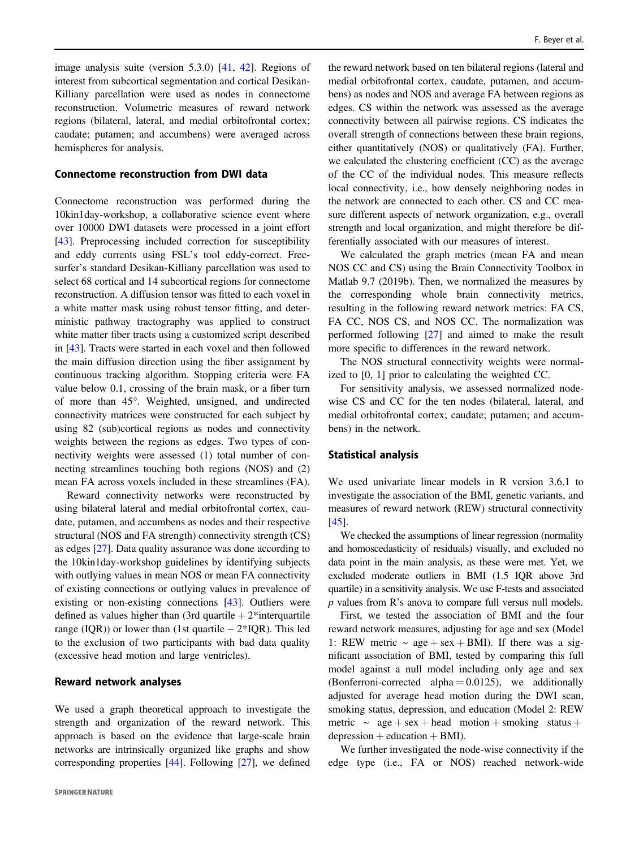image analysis suite (version 5.3.0) [[41,](#page-9-0) [42\]](#page-9-0). Regions of interest from subcortical segmentation and cortical Desikan-Killiany parcellation were used as nodes in connectome reconstruction. Volumetric measures of reward network regions (bilateral, lateral, and medial orbitofrontal cortex; caudate; putamen; and accumbens) were averaged across hemispheres for analysis.

#### Connectome reconstruction from DWI data

Connectome reconstruction was performed during the 10kin1day-workshop, a collaborative science event where over 10000 DWI datasets were processed in a joint effort [\[43](#page-9-0)]. Preprocessing included correction for susceptibility and eddy currents using FSL's tool eddy-correct. Freesurfer's standard Desikan-Killiany parcellation was used to select 68 cortical and 14 subcortical regions for connectome reconstruction. A diffusion tensor was fitted to each voxel in a white matter mask using robust tensor fitting, and deterministic pathway tractography was applied to construct white matter fiber tracts using a customized script described in [[43\]](#page-9-0). Tracts were started in each voxel and then followed the main diffusion direction using the fiber assignment by continuous tracking algorithm. Stopping criteria were FA value below 0.1, crossing of the brain mask, or a fiber turn of more than 45°. Weighted, unsigned, and undirected connectivity matrices were constructed for each subject by using 82 (sub)cortical regions as nodes and connectivity weights between the regions as edges. Two types of connectivity weights were assessed (1) total number of connecting streamlines touching both regions (NOS) and (2) mean FA across voxels included in these streamlines (FA).

Reward connectivity networks were reconstructed by using bilateral lateral and medial orbitofrontal cortex, caudate, putamen, and accumbens as nodes and their respective structural (NOS and FA strength) connectivity strength (CS) as edges [\[27](#page-9-0)]. Data quality assurance was done according to the 10kin1day-workshop guidelines by identifying subjects with outlying values in mean NOS or mean FA connectivity of existing connections or outlying values in prevalence of existing or non-existing connections [[43\]](#page-9-0). Outliers were defined as values higher than (3rd quartile  $+2^*$  interquartile range (IQR)) or lower than (1st quartile  $-2*IQR$ ). This led to the exclusion of two participants with bad data quality (excessive head motion and large ventricles).

#### Reward network analyses

We used a graph theoretical approach to investigate the strength and organization of the reward network. This approach is based on the evidence that large-scale brain networks are intrinsically organized like graphs and show corresponding properties [\[44](#page-9-0)]. Following [[27\]](#page-9-0), we defined

the reward network based on ten bilateral regions (lateral and medial orbitofrontal cortex, caudate, putamen, and accumbens) as nodes and NOS and average FA between regions as edges. CS within the network was assessed as the average connectivity between all pairwise regions. CS indicates the overall strength of connections between these brain regions, either quantitatively (NOS) or qualitatively (FA). Further, we calculated the clustering coefficient (CC) as the average of the CC of the individual nodes. This measure reflects local connectivity, i.e., how densely neighboring nodes in the network are connected to each other. CS and CC measure different aspects of network organization, e.g., overall strength and local organization, and might therefore be differentially associated with our measures of interest.

We calculated the graph metrics (mean FA and mean NOS CC and CS) using the Brain Connectivity Toolbox in Matlab 9.7 (2019b). Then, we normalized the measures by the corresponding whole brain connectivity metrics, resulting in the following reward network metrics: FA CS, FA CC, NOS CS, and NOS CC. The normalization was performed following [\[27](#page-9-0)] and aimed to make the result more specific to differences in the reward network.

The NOS structural connectivity weights were normalized to [0, 1] prior to calculating the weighted CC.

For sensitivity analysis, we assessed normalized nodewise CS and CC for the ten nodes (bilateral, lateral, and medial orbitofrontal cortex; caudate; putamen; and accumbens) in the network.

## Statistical analysis

We used univariate linear models in R version 3.6.1 to investigate the association of the BMI, genetic variants, and measures of reward network (REW) structural connectivity [\[45](#page-9-0)].

We checked the assumptions of linear regression (normality and homoscedasticity of residuals) visually, and excluded no data point in the main analysis, as these were met. Yet, we excluded moderate outliers in BMI (1.5 IQR above 3rd quartile) in a sensitivity analysis. We use F-tests and associated p values from R's anova to compare full versus null models.

First, we tested the association of BMI and the four reward network measures, adjusting for age and sex (Model 1: REW metric  $\sim$  age + sex + BMI). If there was a significant association of BMI, tested by comparing this full model against a null model including only age and sex (Bonferroni-corrected alpha  $= 0.0125$ ), we additionally adjusted for average head motion during the DWI scan, smoking status, depression, and education (Model 2: REW metric  $\sim$  age + sex + head motion + smoking status +  $depression + education + BMI$ .

We further investigated the node-wise connectivity if the edge type (i.e., FA or NOS) reached network-wide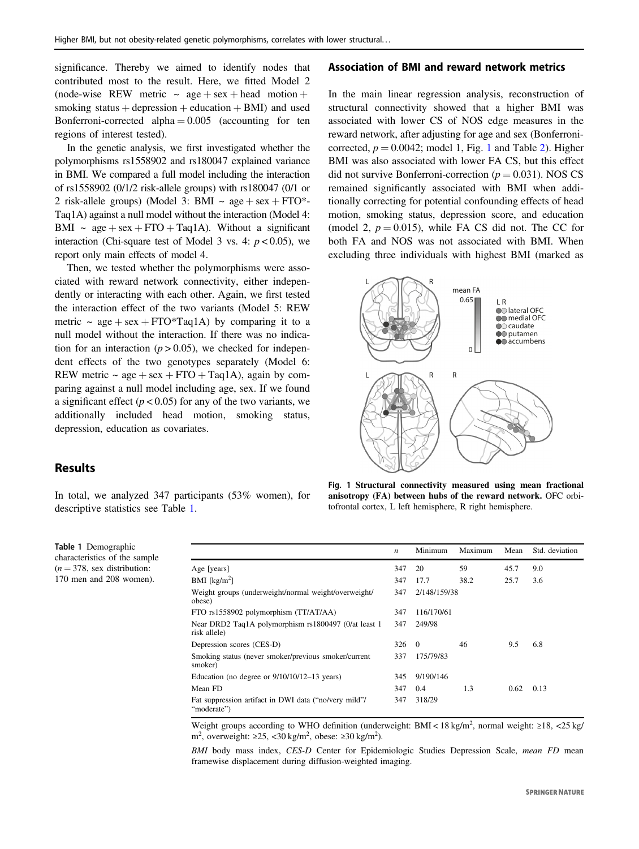significance. Thereby we aimed to identify nodes that contributed most to the result. Here, we fitted Model 2 (node-wise REW metric  $\sim$  age + sex + head motion + smoking status + depression + education + BMI) and used Bonferroni-corrected alpha  $= 0.005$  (accounting for ten regions of interest tested).

In the genetic analysis, we first investigated whether the polymorphisms rs1558902 and rs180047 explained variance in BMI. We compared a full model including the interaction of rs1558902 (0/1/2 risk-allele groups) with rs180047 (0/1 or 2 risk-allele groups) (Model 3: BMI  $\sim$  age  $+$  sex  $+$  FTO\*-Taq1A) against a null model without the interaction (Model 4: BMI  $\sim$  age + sex + FTO + Taq1A). Without a significant interaction (Chi-square test of Model 3 vs. 4:  $p < 0.05$ ), we report only main effects of model 4.

Then, we tested whether the polymorphisms were associated with reward network connectivity, either independently or interacting with each other. Again, we first tested the interaction effect of the two variants (Model 5: REW metric  $\sim$  age + sex + FTO\*Taq1A) by comparing it to a null model without the interaction. If there was no indication for an interaction ( $p > 0.05$ ), we checked for independent effects of the two genotypes separately (Model 6: REW metric  $\sim$  age + sex + FTO + Taq1A), again by comparing against a null model including age, sex. If we found a significant effect ( $p < 0.05$ ) for any of the two variants, we additionally included head motion, smoking status, depression, education as covariates.

# Results

In total, we analyzed 347 participants (53% women), for descriptive statistics see Table 1.

Association of BMI and reward network metrics

In the main linear regression analysis, reconstruction of structural connectivity showed that a higher BMI was associated with lower CS of NOS edge measures in the reward network, after adjusting for age and sex (Bonferronicorrected,  $p = 0.0042$  $p = 0.0042$ ; model 1, Fig. 1 and Table 2). Higher BMI was also associated with lower FA CS, but this effect did not survive Bonferroni-correction ( $p = 0.031$ ). NOS CS remained significantly associated with BMI when additionally correcting for potential confounding effects of head motion, smoking status, depression score, and education (model 2,  $p = 0.015$ ), while FA CS did not. The CC for both FA and NOS was not associated with BMI. When excluding three individuals with highest BMI (marked as



Fig. 1 Structural connectivity measured using mean fractional anisotropy (FA) between hubs of the reward network. OFC orbitofrontal cortex, L left hemisphere, R right hemisphere.

Table 1 Demographic characteristics of the sample  $(n = 378, \text{ sex distribution})$ 170 men and 208 women).

|                                                                      | $\boldsymbol{n}$ | Minimum      | Maximum | Mean | Std. deviation |
|----------------------------------------------------------------------|------------------|--------------|---------|------|----------------|
| Age [years]                                                          | 347              | 20           | 59      | 45.7 | 9.0            |
| BMI $\lceil \text{kg/m}^2 \rceil$                                    | 347              | 17.7         | 38.2    | 25.7 | 3.6            |
| Weight groups (underweight/normal weight/overweight/<br>obese)       | 347              | 2/148/159/38 |         |      |                |
| FTO rs1558902 polymorphism (TT/AT/AA)                                | 347              | 116/170/61   |         |      |                |
| Near DRD2 Taq1A polymorphism rs1800497 (0/at least 1<br>risk allele) | 347              | 249/98       |         |      |                |
| Depression scores (CES-D)                                            | 326              | $\theta$     | 46      | 9.5  | 6.8            |
| Smoking status (never smoker/previous smoker/current<br>smoker)      | 337              | 175/79/83    |         |      |                |
| Education (no degree or $9/10/10/12-13$ years)                       | 345              | 9/190/146    |         |      |                |
| Mean FD                                                              | 347              | 0.4          | 1.3     | 0.62 | 0.13           |
| Fat suppression artifact in DWI data ("no/very mild"/<br>"moderate") | 347              | 318/29       |         |      |                |

Weight groups according to WHO definition (underweight: BMI <  $18 \text{ kg/m}^2$ , normal weight: ≥18, <25 kg/ m<sup>2</sup>, overweight: ≥25, <30 kg/m<sup>2</sup>, obese: ≥30 kg/m<sup>2</sup>).

BMI body mass index, CES-D Center for Epidemiologic Studies Depression Scale, mean FD mean framewise displacement during diffusion-weighted imaging.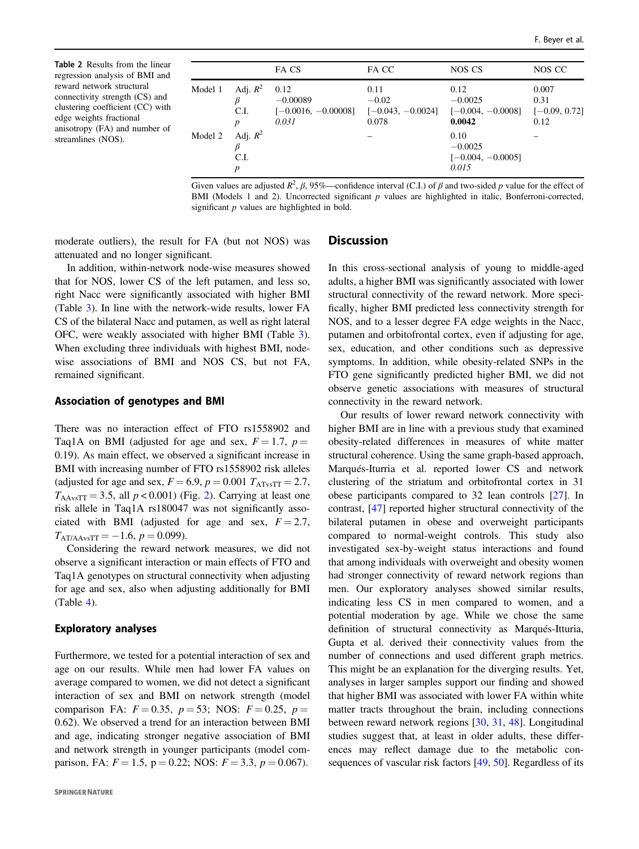<span id="page-5-0"></span>Table 2 Results from the linear regression analysis of BMI and reward network structural connectivity strength (CS) and clustering coefficient (CC) with edge weights fractional anisotropy (FA) and number of streamlines (NOS).

|         |                         | FA CS                                                | FA CC                                           | NOS CS                                             | NOS CC                                   |
|---------|-------------------------|------------------------------------------------------|-------------------------------------------------|----------------------------------------------------|------------------------------------------|
| Model 1 | Adj. $R^2$<br>C.I.<br>p | 0.12<br>$-0.00089$<br>$[-0.0016, -0.00008]$<br>0.031 | 0.11<br>$-0.02$<br>$[-0.043, -0.0024]$<br>0.078 | 0.12<br>$-0.0025$<br>$[-0.004, -0.0008]$<br>0.0042 | 0.007<br>0.31<br>$[-0.09, 0.72]$<br>0.12 |
| Model 2 | Adj. $R^2$<br>C.I.<br>p |                                                      |                                                 | 0.10<br>$-0.0025$<br>$[-0.004, -0.0005]$<br>0.015  |                                          |

Given values are adjusted  $R^2$ ,  $\beta$ , 95%—confidence interval (C.I.) of  $\beta$  and two-sided p value for the effect of BMI (Models 1 and 2). Uncorrected significant  $p$  values are highlighted in italic, Bonferroni-corrected, significant  $p$  values are highlighted in bold.

moderate outliers), the result for FA (but not NOS) was attenuated and no longer significant.

In addition, within-network node-wise measures showed that for NOS, lower CS of the left putamen, and less so, right Nacc were significantly associated with higher BMI (Table [3](#page-6-0)). In line with the network-wide results, lower FA CS of the bilateral Nacc and putamen, as well as right lateral OFC, were weakly associated with higher BMI (Table [3](#page-6-0)). When excluding three individuals with highest BMI, nodewise associations of BMI and NOS CS, but not FA, remained significant.

#### Association of genotypes and BMI

There was no interaction effect of FTO rs1558902 and Taq1A on BMI (adjusted for age and sex,  $F = 1.7$ ,  $p =$ 0.19). As main effect, we observed a significant increase in BMI with increasing number of FTO rs1558902 risk alleles (adjusted for age and sex,  $F = 6.9$ ,  $p = 0.001$   $T_{\text{ATvsTT}} = 2.7$ ,  $T_{\text{AAvsTT}} = 3.5$ , all  $p < 0.001$ ) (Fig. [2](#page-6-0)). Carrying at least one risk allele in Taq1A rs180047 was not significantly associated with BMI (adjusted for age and sex,  $F = 2.7$ ,  $T_{\text{AT/AA} \text{vsTT}} = -1.6, p = 0.099$ .

Considering the reward network measures, we did not observe a significant interaction or main effects of FTO and Taq1A genotypes on structural connectivity when adjusting for age and sex, also when adjusting additionally for BMI (Table [4](#page-7-0)).

## Exploratory analyses

Furthermore, we tested for a potential interaction of sex and age on our results. While men had lower FA values on average compared to women, we did not detect a significant interaction of sex and BMI on network strength (model comparison FA:  $F = 0.35$ ,  $p = 53$ ; NOS:  $F = 0.25$ ,  $p =$ 0.62). We observed a trend for an interaction between BMI and age, indicating stronger negative association of BMI and network strength in younger participants (model comparison, FA:  $F = 1.5$ , p = 0.22; NOS:  $F = 3.3$ , p = 0.067).

#### **Discussion**

In this cross-sectional analysis of young to middle-aged adults, a higher BMI was significantly associated with lower structural connectivity of the reward network. More specifically, higher BMI predicted less connectivity strength for NOS, and to a lesser degree FA edge weights in the Nacc, putamen and orbitofrontal cortex, even if adjusting for age, sex, education, and other conditions such as depressive symptoms. In addition, while obesity-related SNPs in the FTO gene significantly predicted higher BMI, we did not observe genetic associations with measures of structural connectivity in the reward network.

Our results of lower reward network connectivity with higher BMI are in line with a previous study that examined obesity-related differences in measures of white matter structural coherence. Using the same graph-based approach, Marqués-Iturria et al. reported lower CS and network clustering of the striatum and orbitofrontal cortex in 31 obese participants compared to 32 lean controls [[27\]](#page-9-0). In contrast, [\[47](#page-9-0)] reported higher structural connectivity of the bilateral putamen in obese and overweight participants compared to normal-weight controls. This study also investigated sex-by-weight status interactions and found that among individuals with overweight and obesity women had stronger connectivity of reward network regions than men. Our exploratory analyses showed similar results, indicating less CS in men compared to women, and a potential moderation by age. While we chose the same definition of structural connectivity as Marqués-Itturia, Gupta et al. derived their connectivity values from the number of connections and used different graph metrics. This might be an explanation for the diverging results. Yet, analyses in larger samples support our finding and showed that higher BMI was associated with lower FA within white matter tracts throughout the brain, including connections between reward network regions [\[30](#page-9-0), [31,](#page-9-0) [48](#page-10-0)]. Longitudinal studies suggest that, at least in older adults, these differences may reflect damage due to the metabolic consequences of vascular risk factors [[49,](#page-10-0) [50\]](#page-10-0). Regardless of its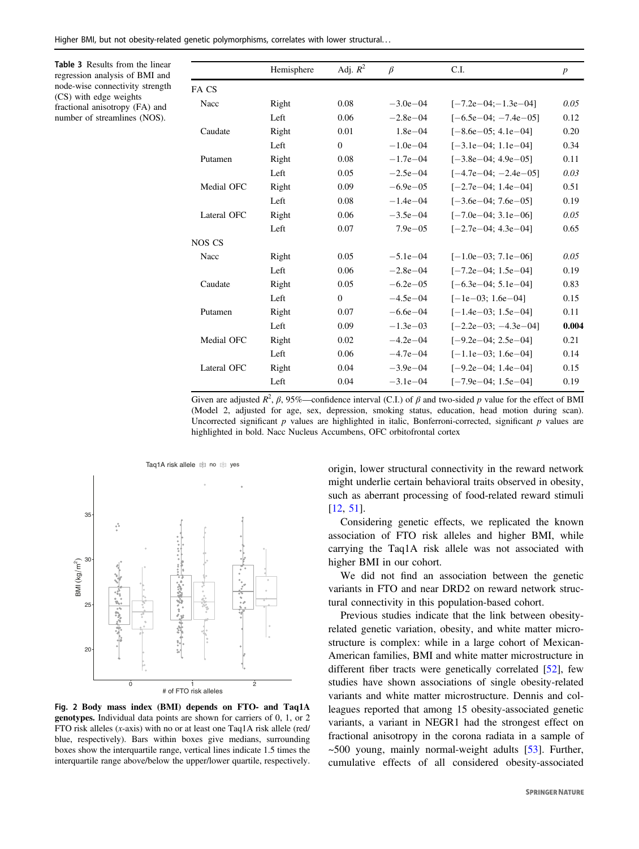<span id="page-6-0"></span>Table 3 Results from the linear regression analysis of BMI and node-wise connectivity strength (CS) with edge weights fractional anisotropy (FA) and number of streamlines (NOS).

|             | Hemisphere | Adj. $R^2$   | $\beta$       | C.I.                      | $\boldsymbol{p}$ |
|-------------|------------|--------------|---------------|---------------------------|------------------|
| FA CS       |            |              |               |                           |                  |
| Nacc        | Right      | 0.08         | $-3.0e - 04$  | $[-7.2e-04;-1.3e-04]$     | 0.05             |
|             | Left       | 0.06         | $-2.8e-04$    | $[-6.5e-04; -7.4e-05]$    | 0.12             |
| Caudate     | Right      | 0.01         | $1.8e - 04$   | $[-8.6e - 05; 4.1e - 04]$ | 0.20             |
|             | Left       | $\Omega$     | $-1.0e - 04$  | $[-3.1e-04; 1.1e-04]$     | 0.34             |
| Putamen     | Right      | 0.08         | $-1.7e-04$    | $[-3.8e-04; 4.9e-05]$     | 0.11             |
|             | Left       | 0.05         | $-2.5e-04$    | $[-4.7e-04; -2.4e-05]$    | 0.03             |
| Medial OFC  | Right      | 0.09         | $-6.9e - 0.5$ | $[-2.7e-04; 1.4e-04]$     | 0.51             |
|             | Left       | 0.08         | $-1.4e-04$    | $[-3.6e - 04; 7.6e - 05]$ | 0.19             |
| Lateral OFC | Right      | 0.06         | $-3.5e-04$    | $[-7.0e-04; 3.1e-06]$     | 0.05             |
|             | Left       | 0.07         | $7.9e - 0.5$  | $[-2.7e - 04; 4.3e - 04]$ | 0.65             |
| NOS CS      |            |              |               |                           |                  |
| Nacc        | Right      | 0.05         | $-5.1e-04$    | $[-1.0e-03; 7.1e-06]$     | 0.05             |
|             | Left       | 0.06         | $-2.8e - 04$  | $[-7.2e - 04; 1.5e - 04]$ | 0.19             |
| Caudate     | Right      | 0.05         | $-6.2e - 0.5$ | $[-6.3e-04; 5.1e-04]$     | 0.83             |
|             | Left       | $\mathbf{0}$ | $-4.5e-04$    | $[-1e-03; 1.6e-04]$       | 0.15             |
| Putamen     | Right      | 0.07         | $-6.6e - 04$  | $[-1.4e-03; 1.5e-04]$     | 0.11             |
|             | Left       | 0.09         | $-1.3e-03$    | $[-2.2e-03; -4.3e-04]$    | 0.004            |
| Medial OFC  | Right      | 0.02         | $-4.2e - 04$  | $[-9.2e-04; 2.5e-04]$     | 0.21             |
|             | Left       | 0.06         | $-4.7e-04$    | $[-1.1e-03; 1.6e-04]$     | 0.14             |
| Lateral OFC | Right      | 0.04         | $-3.9e - 04$  | $[-9.2e-04; 1.4e-04]$     | 0.15             |
|             | Left       | 0.04         | $-3.1e-04$    | $[-7.9e-04; 1.5e-04]$     | 0.19             |

Given are adjusted  $R^2$ ,  $\beta$ , 95%—confidence interval (C.I.) of  $\beta$  and two-sided p value for the effect of BMI (Model 2, adjusted for age, sex, depression, smoking status, education, head motion during scan). Uncorrected significant  $p$  values are highlighted in italic, Bonferroni-corrected, significant  $p$  values are highlighted in bold. Nacc Nucleus Accumbens, OFC orbitofrontal cortex



Fig. 2 Body mass index (BMI) depends on FTO- and Taq1A genotypes. Individual data points are shown for carriers of 0, 1, or 2 FTO risk alleles (x-axis) with no or at least one Taq1A risk allele (red/ blue, respectively). Bars within boxes give medians, surrounding boxes show the interquartile range, vertical lines indicate 1.5 times the interquartile range above/below the upper/lower quartile, respectively.

origin, lower structural connectivity in the reward network might underlie certain behavioral traits observed in obesity, such as aberrant processing of food-related reward stimuli [\[12](#page-9-0), [51](#page-10-0)].

Considering genetic effects, we replicated the known association of FTO risk alleles and higher BMI, while carrying the Taq1A risk allele was not associated with higher BMI in our cohort.

We did not find an association between the genetic variants in FTO and near DRD2 on reward network structural connectivity in this population-based cohort.

Previous studies indicate that the link between obesityrelated genetic variation, obesity, and white matter microstructure is complex: while in a large cohort of Mexican-American families, BMI and white matter microstructure in different fiber tracts were genetically correlated [[52\]](#page-10-0), few studies have shown associations of single obesity-related variants and white matter microstructure. Dennis and colleagues reported that among 15 obesity-associated genetic variants, a variant in NEGR1 had the strongest effect on fractional anisotropy in the corona radiata in a sample of  $\sim$ 500 young, mainly normal-weight adults [[53\]](#page-10-0). Further, cumulative effects of all considered obesity-associated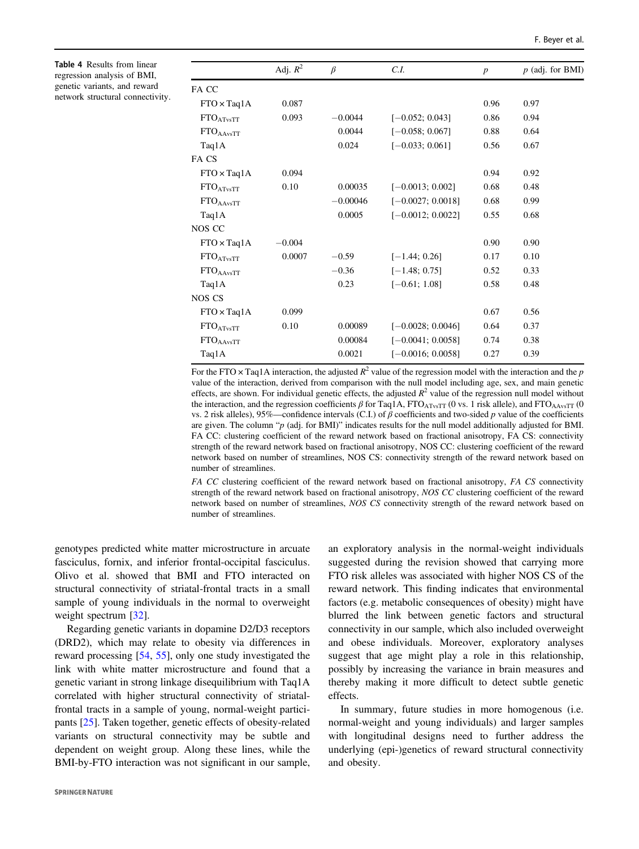<span id="page-7-0"></span>Table 4 Results from linear regression analysis of BMI, genetic variants, and reward network structural connectivity.

|                                           | Adj. $R^2$ | $\beta$    | C.I.                | $\boldsymbol{p}$ | $p$ (adj. for BMI) |
|-------------------------------------------|------------|------------|---------------------|------------------|--------------------|
| FA CC                                     |            |            |                     |                  |                    |
| $FTO \times Taq1A$                        | 0.087      |            |                     | 0.96             | 0.97               |
| FTO <sub>ATvsTT</sub>                     | 0.093      | $-0.0044$  | $[-0.052; 0.043]$   | 0.86             | 0.94               |
| FTO <sub>AAvsTT</sub>                     |            | 0.0044     | $[-0.058; 0.067]$   | 0.88             | 0.64               |
| Taq1A                                     |            | 0.024      | $[-0.033; 0.061]$   | 0.56             | 0.67               |
| FA CS                                     |            |            |                     |                  |                    |
| $FTO \times Taq1A$                        | 0.094      |            |                     | 0.94             | 0.92               |
| FTO <sub>ATvsTT</sub>                     | 0.10       | 0.00035    | $[-0.0013; 0.002]$  | 0.68             | 0.48               |
| $\mathrm{FTO}_{\mathrm{AA}\mathrm{vsTT}}$ |            | $-0.00046$ | $[-0.0027; 0.0018]$ | 0.68             | 0.99               |
| Taq1A                                     |            | 0.0005     | $[-0.0012; 0.0022]$ | 0.55             | 0.68               |
| NOS CC                                    |            |            |                     |                  |                    |
| $FTO \times Taq1A$                        | $-0.004$   |            |                     | 0.90             | 0.90               |
| FTO <sub>ATvsTT</sub>                     | 0.0007     | $-0.59$    | $[-1.44; 0.26]$     | 0.17             | 0.10               |
| FTO <sub>AAvs</sub> TT                    |            | $-0.36$    | $[-1.48; 0.75]$     | 0.52             | 0.33               |
| Taq1A                                     |            | 0.23       | $[-0.61; 1.08]$     | 0.58             | 0.48               |
| NOS CS                                    |            |            |                     |                  |                    |
| $FTO \times Taq1A$                        | 0.099      |            |                     | 0.67             | 0.56               |
| FTO <sub>ATvsTT</sub>                     | 0.10       | 0.00089    | $[-0.0028; 0.0046]$ | 0.64             | 0.37               |
| FTO <sub>AAvsTT</sub>                     |            | 0.00084    | $[-0.0041; 0.0058]$ | 0.74             | 0.38               |
| Taq1A                                     |            | 0.0021     | $[-0.0016; 0.0058]$ | 0.27             | 0.39               |

For the FTO  $\times$  Taq1A interaction, the adjusted  $R^2$  value of the regression model with the interaction and the p value of the interaction, derived from comparison with the null model including age, sex, and main genetic effects, are shown. For individual genetic effects, the adjusted  $R^2$  value of the regression null model without the interaction, and the regression coefficients  $\beta$  for Taq1A, FTO $_{ATvSTT}$  (0 vs. 1 risk allele), and FTO $_{AAvSTT}$  (0 vs. 2 risk alleles), 95%—confidence intervals (C.I.) of  $\beta$  coefficients and two-sided p value of the coefficients are given. The column " $p$  (adj. for BMI)" indicates results for the null model additionally adjusted for BMI. FA CC: clustering coefficient of the reward network based on fractional anisotropy, FA CS: connectivity strength of the reward network based on fractional anisotropy, NOS CC: clustering coefficient of the reward network based on number of streamlines, NOS CS: connectivity strength of the reward network based on number of streamlines.

FA CC clustering coefficient of the reward network based on fractional anisotropy, FA CS connectivity strength of the reward network based on fractional anisotropy, NOS CC clustering coefficient of the reward network based on number of streamlines, NOS CS connectivity strength of the reward network based on number of streamlines.

genotypes predicted white matter microstructure in arcuate fasciculus, fornix, and inferior frontal-occipital fasciculus. Olivo et al. showed that BMI and FTO interacted on structural connectivity of striatal-frontal tracts in a small sample of young individuals in the normal to overweight weight spectrum [[32\]](#page-9-0).

Regarding genetic variants in dopamine D2/D3 receptors (DRD2), which may relate to obesity via differences in reward processing [[54,](#page-10-0) [55](#page-10-0)], only one study investigated the link with white matter microstructure and found that a genetic variant in strong linkage disequilibrium with Taq1A correlated with higher structural connectivity of striatalfrontal tracts in a sample of young, normal-weight participants [[25\]](#page-9-0). Taken together, genetic effects of obesity-related variants on structural connectivity may be subtle and dependent on weight group. Along these lines, while the BMI-by-FTO interaction was not significant in our sample,

**SPRINGER NATURE** 

an exploratory analysis in the normal-weight individuals suggested during the revision showed that carrying more FTO risk alleles was associated with higher NOS CS of the reward network. This finding indicates that environmental factors (e.g. metabolic consequences of obesity) might have blurred the link between genetic factors and structural connectivity in our sample, which also included overweight and obese individuals. Moreover, exploratory analyses suggest that age might play a role in this relationship, possibly by increasing the variance in brain measures and thereby making it more difficult to detect subtle genetic effects.

In summary, future studies in more homogenous (i.e. normal-weight and young individuals) and larger samples with longitudinal designs need to further address the underlying (epi-)genetics of reward structural connectivity and obesity.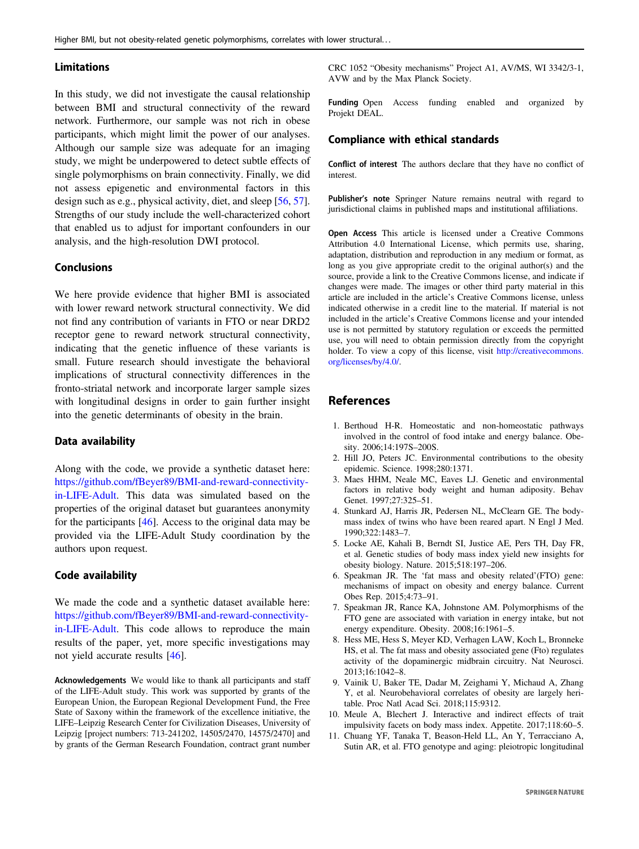#### <span id="page-8-0"></span>Limitations

In this study, we did not investigate the causal relationship between BMI and structural connectivity of the reward network. Furthermore, our sample was not rich in obese participants, which might limit the power of our analyses. Although our sample size was adequate for an imaging study, we might be underpowered to detect subtle effects of single polymorphisms on brain connectivity. Finally, we did not assess epigenetic and environmental factors in this design such as e.g., physical activity, diet, and sleep [[56,](#page-10-0) [57](#page-10-0)]. Strengths of our study include the well-characterized cohort that enabled us to adjust for important confounders in our analysis, and the high-resolution DWI protocol.

## Conclusions

We here provide evidence that higher BMI is associated with lower reward network structural connectivity. We did not find any contribution of variants in FTO or near DRD2 receptor gene to reward network structural connectivity, indicating that the genetic influence of these variants is small. Future research should investigate the behavioral implications of structural connectivity differences in the fronto-striatal network and incorporate larger sample sizes with longitudinal designs in order to gain further insight into the genetic determinants of obesity in the brain.

#### Data availability

Along with the code, we provide a synthetic dataset here: [https://github.com/fBeyer89/BMI-and-reward-connectivity](https://github.com/fBeyer89/BMI-and-reward-connectivity-in-LIFE-Adult)[in-LIFE-Adult.](https://github.com/fBeyer89/BMI-and-reward-connectivity-in-LIFE-Adult) This data was simulated based on the properties of the original dataset but guarantees anonymity for the participants [\[46](#page-9-0)]. Access to the original data may be provided via the LIFE-Adult Study coordination by the authors upon request.

# Code availability

We made the code and a synthetic dataset available here: [https://github.com/fBeyer89/BMI-and-reward-connectivity](https://github.com/fBeyer89/BMI-and-reward-connectivity-in-LIFE-Adult)[in-LIFE-Adult.](https://github.com/fBeyer89/BMI-and-reward-connectivity-in-LIFE-Adult) This code allows to reproduce the main results of the paper, yet, more specific investigations may not yield accurate results [\[46](#page-9-0)].

Acknowledgements We would like to thank all participants and staff of the LIFE-Adult study. This work was supported by grants of the European Union, the European Regional Development Fund, the Free State of Saxony within the framework of the excellence initiative, the LIFE–Leipzig Research Center for Civilization Diseases, University of Leipzig [project numbers: 713-241202, 14505/2470, 14575/2470] and by grants of the German Research Foundation, contract grant number

CRC 1052 "Obesity mechanisms" Project A1, AV/MS, WI 3342/3-1, AVW and by the Max Planck Society.

Funding Open Access funding enabled and organized by Projekt DEAL.

## Compliance with ethical standards

Conflict of interest The authors declare that they have no conflict of interest.

Publisher's note Springer Nature remains neutral with regard to jurisdictional claims in published maps and institutional affiliations.

Open Access This article is licensed under a Creative Commons Attribution 4.0 International License, which permits use, sharing, adaptation, distribution and reproduction in any medium or format, as long as you give appropriate credit to the original author(s) and the source, provide a link to the Creative Commons license, and indicate if changes were made. The images or other third party material in this article are included in the article's Creative Commons license, unless indicated otherwise in a credit line to the material. If material is not included in the article's Creative Commons license and your intended use is not permitted by statutory regulation or exceeds the permitted use, you will need to obtain permission directly from the copyright holder. To view a copy of this license, visit [http://creativecommons.](http://creativecommons.org/licenses/by/4.0/) [org/licenses/by/4.0/](http://creativecommons.org/licenses/by/4.0/).

## References

- 1. Berthoud H-R. Homeostatic and non-homeostatic pathways involved in the control of food intake and energy balance. Obesity. 2006;14:197S–200S.
- 2. Hill JO, Peters JC. Environmental contributions to the obesity epidemic. Science. 1998;280:1371.
- 3. Maes HHM, Neale MC, Eaves LJ. Genetic and environmental factors in relative body weight and human adiposity. Behav Genet. 1997;27:325–51.
- 4. Stunkard AJ, Harris JR, Pedersen NL, McClearn GE. The bodymass index of twins who have been reared apart. N Engl J Med. 1990;322:1483–7.
- 5. Locke AE, Kahali B, Berndt SI, Justice AE, Pers TH, Day FR, et al. Genetic studies of body mass index yield new insights for obesity biology. Nature. 2015;518:197–206.
- 6. Speakman JR. The 'fat mass and obesity related'(FTO) gene: mechanisms of impact on obesity and energy balance. Current Obes Rep. 2015;4:73–91.
- 7. Speakman JR, Rance KA, Johnstone AM. Polymorphisms of the FTO gene are associated with variation in energy intake, but not energy expenditure. Obesity. 2008;16:1961–5.
- 8. Hess ME, Hess S, Meyer KD, Verhagen LAW, Koch L, Bronneke HS, et al. The fat mass and obesity associated gene (Fto) regulates activity of the dopaminergic midbrain circuitry. Nat Neurosci. 2013;16:1042–8.
- 9. Vainik U, Baker TE, Dadar M, Zeighami Y, Michaud A, Zhang Y, et al. Neurobehavioral correlates of obesity are largely heritable. Proc Natl Acad Sci. 2018;115:9312.
- 10. Meule A, Blechert J. Interactive and indirect effects of trait impulsivity facets on body mass index. Appetite. 2017;118:60–5.
- 11. Chuang YF, Tanaka T, Beason-Held LL, An Y, Terracciano A, Sutin AR, et al. FTO genotype and aging: pleiotropic longitudinal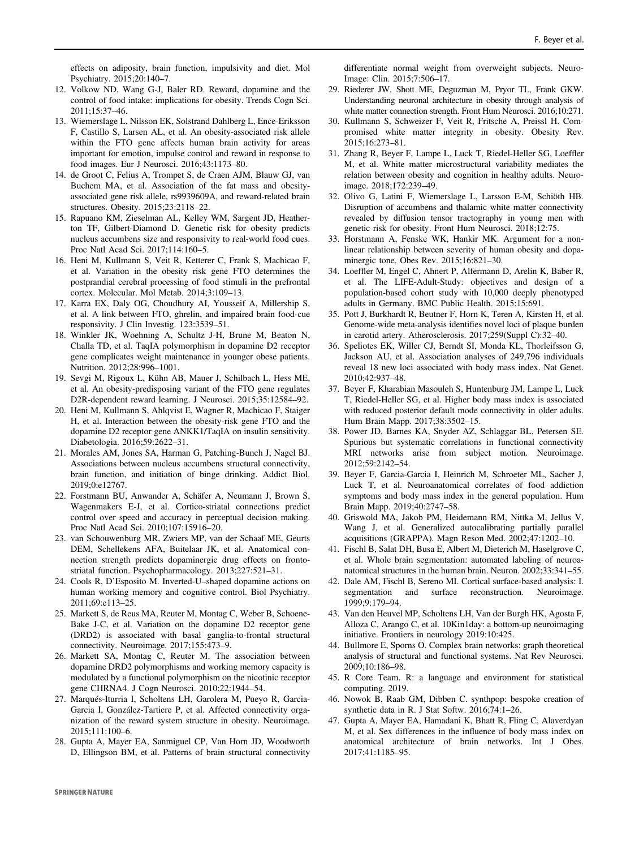<span id="page-9-0"></span>effects on adiposity, brain function, impulsivity and diet. Mol Psychiatry. 2015;20:140–7.

- 12. Volkow ND, Wang G-J, Baler RD. Reward, dopamine and the control of food intake: implications for obesity. Trends Cogn Sci. 2011;15:37–46.
- 13. Wiemerslage L, Nilsson EK, Solstrand Dahlberg L, Ence-Eriksson F, Castillo S, Larsen AL, et al. An obesity-associated risk allele within the FTO gene affects human brain activity for areas important for emotion, impulse control and reward in response to food images. Eur J Neurosci. 2016;43:1173–80.
- 14. de Groot C, Felius A, Trompet S, de Craen AJM, Blauw GJ, van Buchem MA, et al. Association of the fat mass and obesityassociated gene risk allele, rs9939609A, and reward-related brain structures. Obesity. 2015;23:2118–22.
- 15. Rapuano KM, Zieselman AL, Kelley WM, Sargent JD, Heatherton TF, Gilbert-Diamond D. Genetic risk for obesity predicts nucleus accumbens size and responsivity to real-world food cues. Proc Natl Acad Sci. 2017;114:160–5.
- 16. Heni M, Kullmann S, Veit R, Ketterer C, Frank S, Machicao F, et al. Variation in the obesity risk gene FTO determines the postprandial cerebral processing of food stimuli in the prefrontal cortex. Molecular. Mol Metab. 2014;3:109–13.
- 17. Karra EX, Daly OG, Choudhury AI, Yousseif A, Millership S, et al. A link between FTO, ghrelin, and impaired brain food-cue responsivity. J Clin Investig. 123:3539–51.
- 18. Winkler JK, Woehning A, Schultz J-H, Brune M, Beaton N, Challa TD, et al. TaqIA polymorphism in dopamine D2 receptor gene complicates weight maintenance in younger obese patients. Nutrition. 2012;28:996–1001.
- 19. Sevgi M, Rigoux L, Kühn AB, Mauer J, Schilbach L, Hess ME, et al. An obesity-predisposing variant of the FTO gene regulates D2R-dependent reward learning. J Neurosci. 2015;35:12584–92.
- 20. Heni M, Kullmann S, Ahlqvist E, Wagner R, Machicao F, Staiger H, et al. Interaction between the obesity-risk gene FTO and the dopamine D2 receptor gene ANKK1/TaqIA on insulin sensitivity. Diabetologia. 2016;59:2622–31.
- 21. Morales AM, Jones SA, Harman G, Patching-Bunch J, Nagel BJ. Associations between nucleus accumbens structural connectivity, brain function, and initiation of binge drinking. Addict Biol. 2019;0:e12767.
- 22. Forstmann BU, Anwander A, Schäfer A, Neumann J, Brown S, Wagenmakers E-J, et al. Cortico-striatal connections predict control over speed and accuracy in perceptual decision making. Proc Natl Acad Sci. 2010;107:15916–20.
- 23. van Schouwenburg MR, Zwiers MP, van der Schaaf ME, Geurts DEM, Schellekens AFA, Buitelaar JK, et al. Anatomical connection strength predicts dopaminergic drug effects on frontostriatal function. Psychopharmacology. 2013;227:521–31.
- 24. Cools R, D'Esposito M. Inverted-U–shaped dopamine actions on human working memory and cognitive control. Biol Psychiatry. 2011;69:e113–25.
- 25. Markett S, de Reus MA, Reuter M, Montag C, Weber B, Schoene-Bake J-C, et al. Variation on the dopamine D2 receptor gene (DRD2) is associated with basal ganglia-to-frontal structural connectivity. Neuroimage. 2017;155:473–9.
- 26. Markett SA, Montag C, Reuter M. The association between dopamine DRD2 polymorphisms and working memory capacity is modulated by a functional polymorphism on the nicotinic receptor gene CHRNA4. J Cogn Neurosci. 2010;22:1944–54.
- 27. Marqués-Iturria I, Scholtens LH, Garolera M, Pueyo R, Garcia-Garcia I, González-Tartiere P, et al. Affected connectivity organization of the reward system structure in obesity. Neuroimage. 2015;111:100–6.
- 28. Gupta A, Mayer EA, Sanmiguel CP, Van Horn JD, Woodworth D, Ellingson BM, et al. Patterns of brain structural connectivity

differentiate normal weight from overweight subjects. Neuro-Image: Clin. 2015;7:506–17.

- 29. Riederer JW, Shott ME, Deguzman M, Pryor TL, Frank GKW. Understanding neuronal architecture in obesity through analysis of white matter connection strength. Front Hum Neurosci. 2016;10:271.
- 30. Kullmann S, Schweizer F, Veit R, Fritsche A, Preissl H. Compromised white matter integrity in obesity. Obesity Rev. 2015;16:273–81.
- 31. Zhang R, Beyer F, Lampe L, Luck T, Riedel-Heller SG, Loeffler M, et al. White matter microstructural variability mediates the relation between obesity and cognition in healthy adults. Neuroimage. 2018;172:239–49.
- 32. Olivo G, Latini F, Wiemerslage L, Larsson E-M, Schiöth HB. Disruption of accumbens and thalamic white matter connectivity revealed by diffusion tensor tractography in young men with genetic risk for obesity. Front Hum Neurosci. 2018;12:75.
- 33. Horstmann A, Fenske WK, Hankir MK. Argument for a nonlinear relationship between severity of human obesity and dopaminergic tone. Obes Rev. 2015;16:821–30.
- 34. Loeffler M, Engel C, Ahnert P, Alfermann D, Arelin K, Baber R, et al. The LIFE-Adult-Study: objectives and design of a population-based cohort study with 10,000 deeply phenotyped adults in Germany. BMC Public Health. 2015;15:691.
- 35. Pott J, Burkhardt R, Beutner F, Horn K, Teren A, Kirsten H, et al. Genome-wide meta-analysis identifies novel loci of plaque burden in carotid artery. Atherosclerosis. 2017;259(Suppl C):32–40.
- 36. Speliotes EK, Willer CJ, Berndt SI, Monda KL, Thorleifsson G, Jackson AU, et al. Association analyses of 249,796 individuals reveal 18 new loci associated with body mass index. Nat Genet. 2010;42:937–48.
- 37. Beyer F, Kharabian Masouleh S, Huntenburg JM, Lampe L, Luck T, Riedel-Heller SG, et al. Higher body mass index is associated with reduced posterior default mode connectivity in older adults. Hum Brain Mapp. 2017;38:3502–15.
- 38. Power JD, Barnes KA, Snyder AZ, Schlaggar BL, Petersen SE. Spurious but systematic correlations in functional connectivity MRI networks arise from subject motion. Neuroimage. 2012;59:2142–54.
- 39. Beyer F, Garcia-Garcia I, Heinrich M, Schroeter ML, Sacher J, Luck T, et al. Neuroanatomical correlates of food addiction symptoms and body mass index in the general population. Hum Brain Mapp. 2019;40:2747–58.
- 40. Griswold MA, Jakob PM, Heidemann RM, Nittka M, Jellus V, Wang J, et al. Generalized autocalibrating partially parallel acquisitions (GRAPPA). Magn Reson Med. 2002;47:1202–10.
- 41. Fischl B, Salat DH, Busa E, Albert M, Dieterich M, Haselgrove C, et al. Whole brain segmentation: automated labeling of neuroanatomical structures in the human brain. Neuron. 2002;33:341–55.
- 42. Dale AM, Fischl B, Sereno MI. Cortical surface-based analysis: I. segmentation and surface reconstruction. Neuroimage. 1999;9:179–94.
- 43. Van den Heuvel MP, Scholtens LH, Van der Burgh HK, Agosta F, Alloza C, Arango C, et al. 10Kin1day: a bottom-up neuroimaging initiative. Frontiers in neurology 2019:10:425.
- 44. Bullmore E, Sporns O. Complex brain networks: graph theoretical analysis of structural and functional systems. Nat Rev Neurosci. 2009;10:186–98.
- 45. R Core Team. R: a language and environment for statistical computing. 2019.
- 46. Nowok B, Raab GM, Dibben C. synthpop: bespoke creation of synthetic data in R. J Stat Softw. 2016;74:1–26.
- 47. Gupta A, Mayer EA, Hamadani K, Bhatt R, Fling C, Alaverdyan M, et al. Sex differences in the influence of body mass index on anatomical architecture of brain networks. Int J Obes. 2017;41:1185–95.